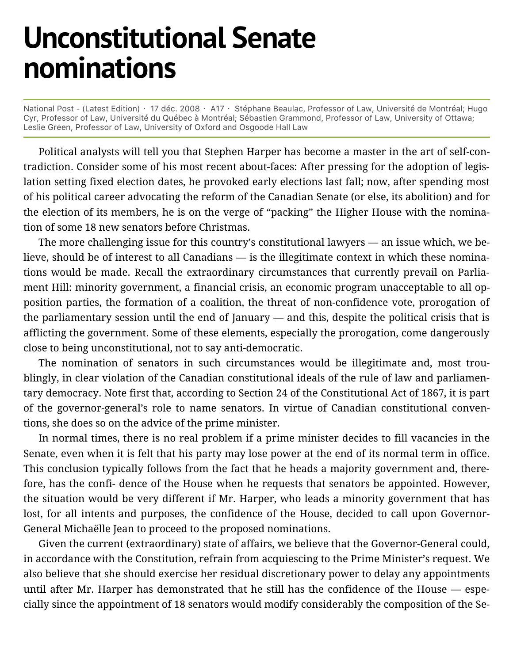## **Unconstitutional Senate nominations**

National Post - (Latest Edition) · 17 déc. 2008 · A17 · Stéphane Beaulac, Professor of Law, Université de Montréal; Hugo Cyr, Professor of Law, Université du Québec à Montréal; Sébastien Grammond, Professor of Law, University of Ottawa; Leslie Green, Professor of Law, University of Oxford and Osgoode Hall Law

Political analysts will tell you that Stephen Harper has become a master in the art of self-contradiction. Consider some of his most recent about-faces: After pressing for the adoption of legislation setting fixed election dates, he provoked early elections last fall; now, after spending most of his political career advocating the reform of the Canadian Senate (or else, its abolition) and for the election of its members, he is on the verge of "packing" the Higher House with the nomination of some 18 new senators before Christmas.

The more challenging issue for this country's constitutional lawyers — an issue which, we believe, should be of interest to all Canadians — is the illegitimate context in which these nominations would be made. Recall the extraordinary circumstances that currently prevail on Parliament Hill: minority government, a financial crisis, an economic program unacceptable to all opposition parties, the formation of a coalition, the threat of non-confidence vote, prorogation of the parliamentary session until the end of January  $-$  and this, despite the political crisis that is afflicting the government. Some of these elements, especially the prorogation, come dangerously close to being unconstitutional, not to say anti-democratic.

The nomination of senators in such circumstances would be illegitimate and, most troublingly, in clear violation of the Canadian constitutional ideals of the rule of law and parliamentary democracy. Note first that, according to Section 24 of the Constitutional Act of 1867, it is part of the governor-general's role to name senators. In virtue of Canadian constitutional conventions, she does so on the advice of the prime minister.

In normal times, there is no real problem if a prime minister decides to fill vacancies in the Senate, even when it is felt that his party may lose power at the end of its normal term in office. This conclusion typically follows from the fact that he heads a majority government and, therefore, has the confi- dence of the House when he requests that senators be appointed. However, the situation would be very different if Mr. Harper, who leads a minority government that has lost, for all intents and purposes, the confidence of the House, decided to call upon Governor-General Michaëlle Jean to proceed to the proposed nominations.

Given the current (extraordinary) state of affairs, we believe that the Governor-General could, in accordance with the Constitution, refrain from acquiescing to the Prime Minister's request. We also believe that she should exercise her residual discretionary power to delay any appointments until after Mr. Harper has demonstrated that he still has the confidence of the House  $-$  especially since the appointment of 18 senators would modify considerably the composition of the Se